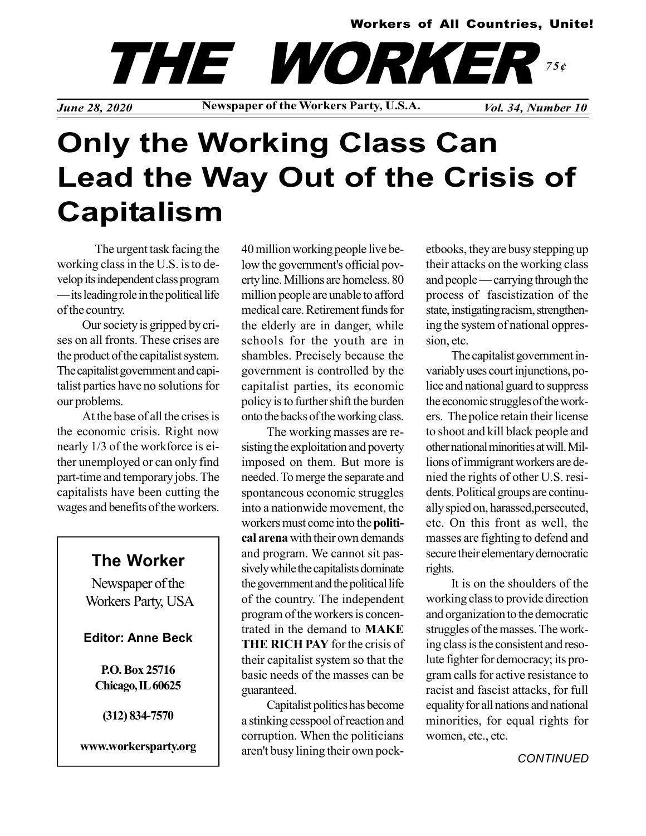#### Workers of All Countries, Unite!

*June 28, 2020* Newspaper of the Workers Party, U.S.A. *Vol. 34, Number 10* THE WORKER 75¢

# Only the Working Class Can Lead the Way Out of the Crisis of Capitalism

The urgent task facing the working class in the U.S. is to develop its independent class program — its leading role in the political life of the country.

Our society is gripped by crises on all fronts. These crises are the product of the capitalist system. The capitalist government and capitalist parties have no solutions for our problems.

At the base of all the crises is the economic crisis. Right now nearly 1/3 of the workforce is either unemployed or can only find part-time and temporary jobs. The capitalists have been cutting the wages and benefits of the workers.

### The Worker

Newspaper of the Workers Party, USA

#### Editor: Anne Beck

P.O. Box 25716 Chicago, IL 60625

(312) 834-7570

www.workersparty.org

40 million working people live below the government's official poverty line. Millions are homeless. 80 million people are unable to afford medical care. Retirement funds for the elderly are in danger, while schools for the youth are in shambles. Precisely because the government is controlled by the capitalist parties, its economic policy is to further shift the burden onto the backs of the working class.

The working masses are resisting the exploitation and poverty imposed on them. But more is needed. To merge the separate and spontaneous economic struggles into a nationwide movement, the workers must come into the political arena with their own demands and program. We cannot sit passively while the capitalists dominate the government and the political life of the country. The independent program of the workers is concentrated in the demand to MAKE THE RICH PAY for the crisis of their capitalist system so that the basic needs of the masses can be guaranteed.

Capitalist politics has become a stinking cesspool of reaction and corruption. When the politicians aren't busy lining their own pocketbooks, they are busy stepping up their attacks on the working class and people — carrying through the process of fascistization of the state, instigating racism, strengthening the system of national oppression, etc.

The capitalist government invariably uses court injunctions, police and national guard to suppress the economic struggles of the workers. The police retain their license to shoot and kill black people and other national minorities at will. Millions of immigrant workers are denied the rights of other U.S. residents. Political groups are continually spied on, harassed,persecuted, etc. On this front as well, the masses are fighting to defend and secure their elementary democratic rights.

It is on the shoulders of the working class to provide direction and organization to the democratic struggles of the masses. The working class is the consistent and resolute fighter for democracy; its program calls for active resistance to racist and fascist attacks, for full equality for all nations and national minorities, for equal rights for women, etc., etc.

**CONTINUED**